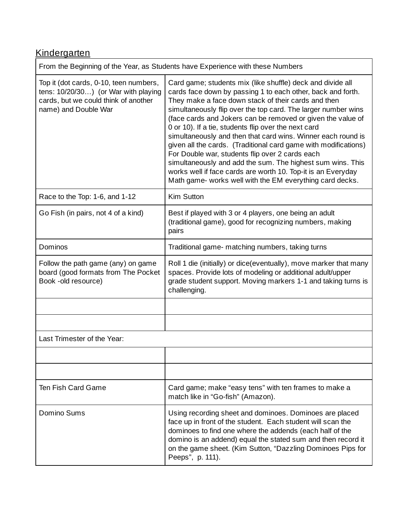# **Kindergarten**

| From the Beginning of the Year, as Students have Experience with these Numbers                                                                 |                                                                                                                                                                                                                                                                                                                                                                                                                                                                                                                                                                                                                                                                                                                                                          |
|------------------------------------------------------------------------------------------------------------------------------------------------|----------------------------------------------------------------------------------------------------------------------------------------------------------------------------------------------------------------------------------------------------------------------------------------------------------------------------------------------------------------------------------------------------------------------------------------------------------------------------------------------------------------------------------------------------------------------------------------------------------------------------------------------------------------------------------------------------------------------------------------------------------|
| Top it (dot cards, 0-10, teen numbers,<br>tens: 10/20/30) (or War with playing<br>cards, but we could think of another<br>name) and Double War | Card game; students mix (like shuffle) deck and divide all<br>cards face down by passing 1 to each other, back and forth.<br>They make a face down stack of their cards and then<br>simultaneously flip over the top card. The larger number wins<br>(face cards and Jokers can be removed or given the value of<br>0 or 10). If a tie, students flip over the next card<br>simultaneously and then that card wins. Winner each round is<br>given all the cards. (Traditional card game with modifications)<br>For Double war, students flip over 2 cards each<br>simultaneously and add the sum. The highest sum wins. This<br>works well if face cards are worth 10. Top-it is an Everyday<br>Math game- works well with the EM everything card decks. |
| Race to the Top: 1-6, and 1-12                                                                                                                 | Kim Sutton                                                                                                                                                                                                                                                                                                                                                                                                                                                                                                                                                                                                                                                                                                                                               |
| Go Fish (in pairs, not 4 of a kind)                                                                                                            | Best if played with 3 or 4 players, one being an adult<br>(traditional game), good for recognizing numbers, making<br>pairs                                                                                                                                                                                                                                                                                                                                                                                                                                                                                                                                                                                                                              |
| Dominos                                                                                                                                        | Traditional game- matching numbers, taking turns                                                                                                                                                                                                                                                                                                                                                                                                                                                                                                                                                                                                                                                                                                         |
| Follow the path game (any) on game<br>board (good formats from The Pocket<br>Book -old resource)                                               | Roll 1 die (initially) or dice(eventually), move marker that many<br>spaces. Provide lots of modeling or additional adult/upper<br>grade student support. Moving markers 1-1 and taking turns is<br>challenging.                                                                                                                                                                                                                                                                                                                                                                                                                                                                                                                                         |
|                                                                                                                                                |                                                                                                                                                                                                                                                                                                                                                                                                                                                                                                                                                                                                                                                                                                                                                          |
|                                                                                                                                                |                                                                                                                                                                                                                                                                                                                                                                                                                                                                                                                                                                                                                                                                                                                                                          |
| Last Trimester of the Year:                                                                                                                    |                                                                                                                                                                                                                                                                                                                                                                                                                                                                                                                                                                                                                                                                                                                                                          |
|                                                                                                                                                |                                                                                                                                                                                                                                                                                                                                                                                                                                                                                                                                                                                                                                                                                                                                                          |
|                                                                                                                                                |                                                                                                                                                                                                                                                                                                                                                                                                                                                                                                                                                                                                                                                                                                                                                          |
| <b>Ten Fish Card Game</b>                                                                                                                      | Card game; make "easy tens" with ten frames to make a<br>match like in "Go-fish" (Amazon).                                                                                                                                                                                                                                                                                                                                                                                                                                                                                                                                                                                                                                                               |
| Domino Sums                                                                                                                                    | Using recording sheet and dominoes. Dominoes are placed<br>face up in front of the student. Each student will scan the<br>dominoes to find one where the addends (each half of the<br>domino is an addend) equal the stated sum and then record it<br>on the game sheet. (Kim Sutton, "Dazzling Dominoes Pips for<br>Peeps", p. 111).                                                                                                                                                                                                                                                                                                                                                                                                                    |

<u> 1989 - Johann Barn, mars ann an t-Amhain Aonaich an t-Aonaich an t-Aonaich ann an t-Aonaich ann an t-Aonaich</u>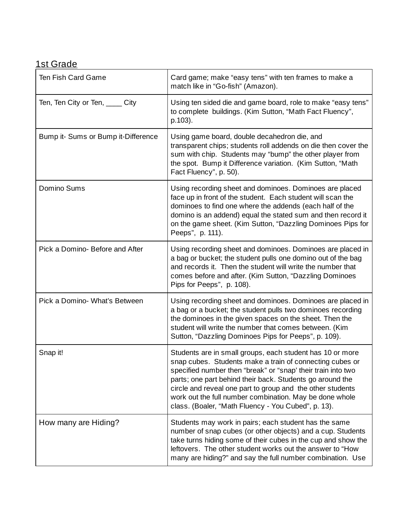#### 1st Grade

| Ten Fish Card Game                  | Card game; make "easy tens" with ten frames to make a<br>match like in "Go-fish" (Amazon).                                                                                                                                                                                                                                                                                                                                         |
|-------------------------------------|------------------------------------------------------------------------------------------------------------------------------------------------------------------------------------------------------------------------------------------------------------------------------------------------------------------------------------------------------------------------------------------------------------------------------------|
| Ten, Ten City or Ten, _____ City    | Using ten sided die and game board, role to make "easy tens"<br>to complete buildings. (Kim Sutton, "Math Fact Fluency",<br>p.103).                                                                                                                                                                                                                                                                                                |
| Bump it- Sums or Bump it-Difference | Using game board, double decahedron die, and<br>transparent chips; students roll addends on die then cover the<br>sum with chip. Students may "bump" the other player from<br>the spot. Bump it Difference variation. (Kim Sutton, "Math<br>Fact Fluency", p. 50).                                                                                                                                                                 |
| Domino Sums                         | Using recording sheet and dominoes. Dominoes are placed<br>face up in front of the student. Each student will scan the<br>dominoes to find one where the addends (each half of the<br>domino is an addend) equal the stated sum and then record it<br>on the game sheet. (Kim Sutton, "Dazzling Dominoes Pips for<br>Peeps", p. 111).                                                                                              |
| Pick a Domino- Before and After     | Using recording sheet and dominoes. Dominoes are placed in<br>a bag or bucket; the student pulls one domino out of the bag<br>and records it. Then the student will write the number that<br>comes before and after. (Kim Sutton, "Dazzling Dominoes<br>Pips for Peeps", p. 108).                                                                                                                                                  |
| Pick a Domino- What's Between       | Using recording sheet and dominoes. Dominoes are placed in<br>a bag or a bucket; the student pulls two dominoes recording<br>the dominoes in the given spaces on the sheet. Then the<br>student will write the number that comes between. (Kim<br>Sutton, "Dazzling Dominoes Pips for Peeps", p. 109).                                                                                                                             |
| Snap it!                            | Students are in small groups, each student has 10 or more<br>snap cubes. Students make a train of connecting cubes or<br>specified number then "break" or "snap' their train into two<br>parts; one part behind their back. Students go around the<br>circle and reveal one part to group and the other students<br>work out the full number combination. May be done whole<br>class. (Boaler, "Math Fluency - You Cubed", p. 13). |
| How many are Hiding?                | Students may work in pairs; each student has the same<br>number of snap cubes (or other objects) and a cup. Students<br>take turns hiding some of their cubes in the cup and show the<br>leftovers. The other student works out the answer to "How<br>many are hiding?" and say the full number combination. Use                                                                                                                   |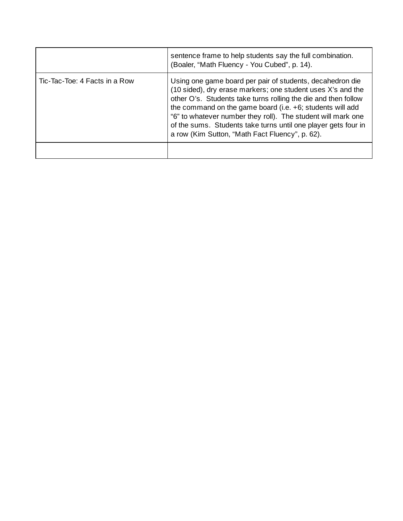|                               | sentence frame to help students say the full combination.<br>(Boaler, "Math Fluency - You Cubed", p. 14).                                                                                                                                                                                                                                                                                                                                       |
|-------------------------------|-------------------------------------------------------------------------------------------------------------------------------------------------------------------------------------------------------------------------------------------------------------------------------------------------------------------------------------------------------------------------------------------------------------------------------------------------|
| Tic-Tac-Toe: 4 Facts in a Row | Using one game board per pair of students, decahedron die<br>(10 sided), dry erase markers; one student uses X's and the<br>other O's. Students take turns rolling the die and then follow<br>the command on the game board (i.e. $+6$ ; students will add<br>"6" to whatever number they roll). The student will mark one<br>of the sums. Students take turns until one player gets four in<br>a row (Kim Sutton, "Math Fact Fluency", p. 62). |
|                               |                                                                                                                                                                                                                                                                                                                                                                                                                                                 |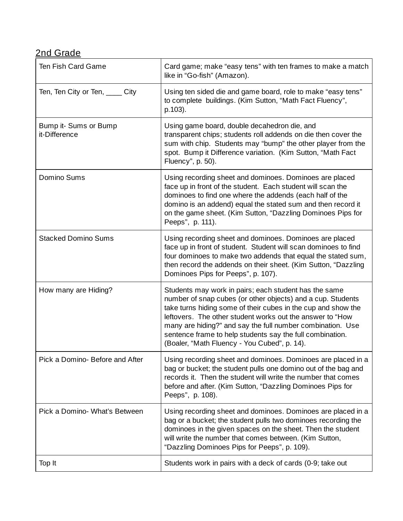## 2nd Grade

| Ten Fish Card Game                     | Card game; make "easy tens" with ten frames to make a match<br>like in "Go-fish" (Amazon).                                                                                                                                                                                                                                                                                                                                    |
|----------------------------------------|-------------------------------------------------------------------------------------------------------------------------------------------------------------------------------------------------------------------------------------------------------------------------------------------------------------------------------------------------------------------------------------------------------------------------------|
| Ten, Ten City or Ten, City             | Using ten sided die and game board, role to make "easy tens"<br>to complete buildings. (Kim Sutton, "Math Fact Fluency",<br>p.103).                                                                                                                                                                                                                                                                                           |
| Bump it- Sums or Bump<br>it-Difference | Using game board, double decahedron die, and<br>transparent chips; students roll addends on die then cover the<br>sum with chip. Students may "bump" the other player from the<br>spot. Bump it Difference variation. (Kim Sutton, "Math Fact<br>Fluency", p. 50).                                                                                                                                                            |
| Domino Sums                            | Using recording sheet and dominoes. Dominoes are placed<br>face up in front of the student. Each student will scan the<br>dominoes to find one where the addends (each half of the<br>domino is an addend) equal the stated sum and then record it<br>on the game sheet. (Kim Sutton, "Dazzling Dominoes Pips for<br>Peeps", p. 111).                                                                                         |
| <b>Stacked Domino Sums</b>             | Using recording sheet and dominoes. Dominoes are placed<br>face up in front of student. Student will scan dominoes to find<br>four dominoes to make two addends that equal the stated sum,<br>then record the addends on their sheet. (Kim Sutton, "Dazzling<br>Dominoes Pips for Peeps", p. 107).                                                                                                                            |
| How many are Hiding?                   | Students may work in pairs; each student has the same<br>number of snap cubes (or other objects) and a cup. Students<br>take turns hiding some of their cubes in the cup and show the<br>leftovers. The other student works out the answer to "How<br>many are hiding?" and say the full number combination. Use<br>sentence frame to help students say the full combination.<br>(Boaler, "Math Fluency - You Cubed", p. 14). |
| Pick a Domino- Before and After        | Using recording sheet and dominoes. Dominoes are placed in a<br>bag or bucket; the student pulls one domino out of the bag and<br>records it. Then the student will write the number that comes<br>before and after. (Kim Sutton, "Dazzling Dominoes Pips for<br>Peeps", p. 108).                                                                                                                                             |
| Pick a Domino- What's Between          | Using recording sheet and dominoes. Dominoes are placed in a<br>bag or a bucket; the student pulls two dominoes recording the<br>dominoes in the given spaces on the sheet. Then the student<br>will write the number that comes between. (Kim Sutton,<br>"Dazzling Dominoes Pips for Peeps", p. 109).                                                                                                                        |
| Top It                                 | Students work in pairs with a deck of cards (0-9; take out                                                                                                                                                                                                                                                                                                                                                                    |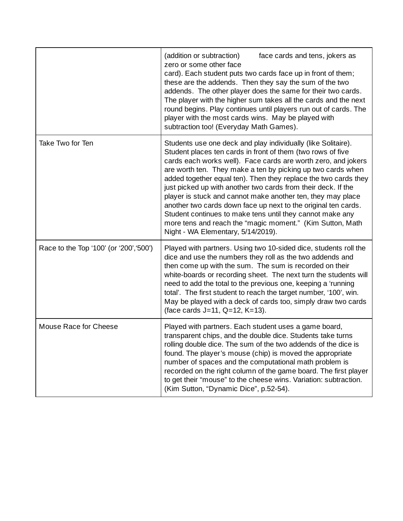|                                         | (addition or subtraction)<br>face cards and tens, jokers as<br>zero or some other face<br>card). Each student puts two cards face up in front of them;<br>these are the addends. Then they say the sum of the two<br>addends. The other player does the same for their two cards.<br>The player with the higher sum takes all the cards and the next<br>round begins. Play continues until players run out of cards. The<br>player with the most cards wins. May be played with<br>subtraction too! (Everyday Math Games).                                                                                                                                                                        |
|-----------------------------------------|---------------------------------------------------------------------------------------------------------------------------------------------------------------------------------------------------------------------------------------------------------------------------------------------------------------------------------------------------------------------------------------------------------------------------------------------------------------------------------------------------------------------------------------------------------------------------------------------------------------------------------------------------------------------------------------------------|
| Take Two for Ten                        | Students use one deck and play individually (like Solitaire).<br>Student places ten cards in front of them (two rows of five<br>cards each works well). Face cards are worth zero, and jokers<br>are worth ten. They make a ten by picking up two cards when<br>added together equal ten). Then they replace the two cards they<br>just picked up with another two cards from their deck. If the<br>player is stuck and cannot make another ten, they may place<br>another two cards down face up next to the original ten cards.<br>Student continues to make tens until they cannot make any<br>more tens and reach the "magic moment." (Kim Sutton, Math<br>Night - WA Elementary, 5/14/2019). |
| Race to the Top '100' (or '200', '500') | Played with partners. Using two 10-sided dice, students roll the<br>dice and use the numbers they roll as the two addends and<br>then come up with the sum. The sum is recorded on their<br>white-boards or recording sheet. The next turn the students will<br>need to add the total to the previous one, keeping a 'running<br>total'. The first student to reach the target number, '100', win.<br>May be played with a deck of cards too, simply draw two cards<br>(face cards J=11, Q=12, K=13).                                                                                                                                                                                             |
| Mouse Race for Cheese                   | Played with partners. Each student uses a game board,<br>transparent chips, and the double dice. Students take turns<br>rolling double dice. The sum of the two addends of the dice is<br>found. The player's mouse (chip) is moved the appropriate<br>number of spaces and the computational math problem is<br>recorded on the right column of the game board. The first player<br>to get their "mouse" to the cheese wins. Variation: subtraction.<br>(Kim Sutton, "Dynamic Dice", p.52-54).                                                                                                                                                                                                   |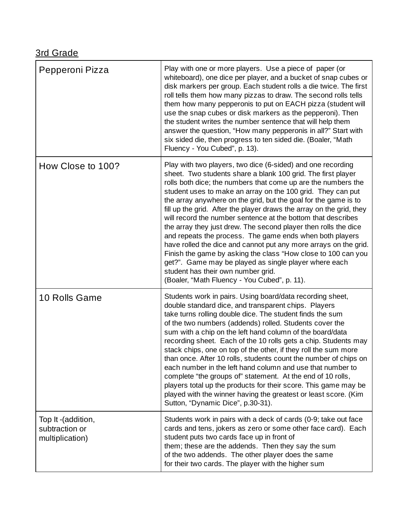## 3rd Grade

| Pepperoni Pizza                                         | Play with one or more players. Use a piece of paper (or<br>whiteboard), one dice per player, and a bucket of snap cubes or<br>disk markers per group. Each student rolls a die twice. The first<br>roll tells them how many pizzas to draw. The second rolls tells<br>them how many pepperonis to put on EACH pizza (student will<br>use the snap cubes or disk markers as the pepperoni). Then<br>the student writes the number sentence that will help them<br>answer the question, "How many pepperonis in all?" Start with<br>six sided die, then progress to ten sided die. (Boaler, "Math<br>Fluency - You Cubed", p. 13).                                                                                                                                                                                                                                                          |
|---------------------------------------------------------|-------------------------------------------------------------------------------------------------------------------------------------------------------------------------------------------------------------------------------------------------------------------------------------------------------------------------------------------------------------------------------------------------------------------------------------------------------------------------------------------------------------------------------------------------------------------------------------------------------------------------------------------------------------------------------------------------------------------------------------------------------------------------------------------------------------------------------------------------------------------------------------------|
| How Close to 100?                                       | Play with two players, two dice (6-sided) and one recording<br>sheet. Two students share a blank 100 grid. The first player<br>rolls both dice; the numbers that come up are the numbers the<br>student uses to make an array on the 100 grid. They can put<br>the array anywhere on the grid, but the goal for the game is to<br>fill up the grid. After the player draws the array on the grid, they<br>will record the number sentence at the bottom that describes<br>the array they just drew. The second player then rolls the dice<br>and repeats the process. The game ends when both players<br>have rolled the dice and cannot put any more arrays on the grid.<br>Finish the game by asking the class "How close to 100 can you<br>get?". Game may be played as single player where each<br>student has their own number grid.<br>(Boaler, "Math Fluency - You Cubed", p. 11). |
| 10 Rolls Game                                           | Students work in pairs. Using board/data recording sheet,<br>double standard dice, and transparent chips. Players<br>take turns rolling double dice. The student finds the sum<br>of the two numbers (addends) rolled. Students cover the<br>sum with a chip on the left hand column of the board/data<br>recording sheet. Each of the 10 rolls gets a chip. Students may<br>stack chips, one on top of the other, if they roll the sum more<br>than once. After 10 rolls, students count the number of chips on<br>each number in the left hand column and use that number to<br>complete "the groups of" statement. At the end of 10 rolls,<br>players total up the products for their score. This game may be<br>played with the winner having the greatest or least score. (Kim<br>Sutton, "Dynamic Dice", p.30-31).                                                                  |
| Top It -(addition,<br>subtraction or<br>multiplication) | Students work in pairs with a deck of cards (0-9; take out face<br>cards and tens, jokers as zero or some other face card). Each<br>student puts two cards face up in front of<br>them; these are the addends. Then they say the sum<br>of the two addends. The other player does the same<br>for their two cards. The player with the higher sum                                                                                                                                                                                                                                                                                                                                                                                                                                                                                                                                         |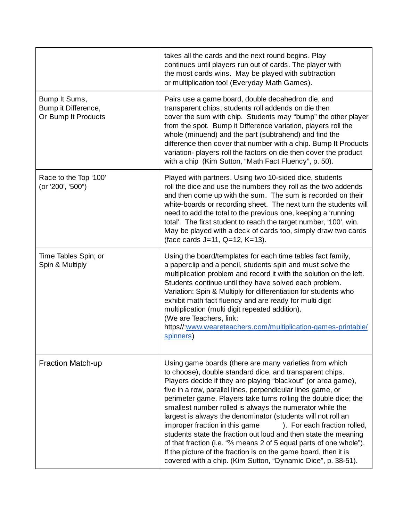|                                                             | takes all the cards and the next round begins. Play<br>continues until players run out of cards. The player with<br>the most cards wins. May be played with subtraction<br>or multiplication too! (Everyday Math Games).                                                                                                                                                                                                                                                                                                                                                                                                                                                                                                                                                                     |
|-------------------------------------------------------------|----------------------------------------------------------------------------------------------------------------------------------------------------------------------------------------------------------------------------------------------------------------------------------------------------------------------------------------------------------------------------------------------------------------------------------------------------------------------------------------------------------------------------------------------------------------------------------------------------------------------------------------------------------------------------------------------------------------------------------------------------------------------------------------------|
| Bump It Sums,<br>Bump it Difference,<br>Or Bump It Products | Pairs use a game board, double decahedron die, and<br>transparent chips; students roll addends on die then<br>cover the sum with chip. Students may "bump" the other player<br>from the spot. Bump it Difference variation, players roll the<br>whole (minuend) and the part (subtrahend) and find the<br>difference then cover that number with a chip. Bump It Products<br>variation- players roll the factors on die then cover the product<br>with a chip (Kim Sutton, "Math Fact Fluency", p. 50).                                                                                                                                                                                                                                                                                      |
| Race to the Top '100'<br>(or '200', '500")                  | Played with partners. Using two 10-sided dice, students<br>roll the dice and use the numbers they roll as the two addends<br>and then come up with the sum. The sum is recorded on their<br>white-boards or recording sheet. The next turn the students will<br>need to add the total to the previous one, keeping a 'running<br>total'. The first student to reach the target number, '100', win.<br>May be played with a deck of cards too, simply draw two cards<br>(face cards J=11, Q=12, K=13).                                                                                                                                                                                                                                                                                        |
| Time Tables Spin; or<br>Spin & Multiply                     | Using the board/templates for each time tables fact family,<br>a paperclip and a pencil, students spin and must solve the<br>multiplication problem and record it with the solution on the left.<br>Students continue until they have solved each problem.<br>Variation: Spin & Multiply for differentiation for students who<br>exhibit math fact fluency and are ready for multi digit<br>multiplication (multi digit repeated addition).<br>(We are Teachers, link:<br>https//:www.weareteachers.com/multiplication-games-printable/<br>spinners)                                                                                                                                                                                                                                         |
| <b>Fraction Match-up</b>                                    | Using game boards (there are many varieties from which<br>to choose), double standard dice, and transparent chips.<br>Players decide if they are playing "blackout" (or area game),<br>five in a row, parallel lines, perpendicular lines game, or<br>perimeter game. Players take turns rolling the double dice; the<br>smallest number rolled is always the numerator while the<br>largest is always the denominator (students will not roll an<br>improper fraction in this game ). For each fraction rolled,<br>students state the fraction out loud and then state the meaning<br>of that fraction (i.e. "% means 2 of 5 equal parts of one whole").<br>If the picture of the fraction is on the game board, then it is<br>covered with a chip. (Kim Sutton, "Dynamic Dice", p. 38-51). |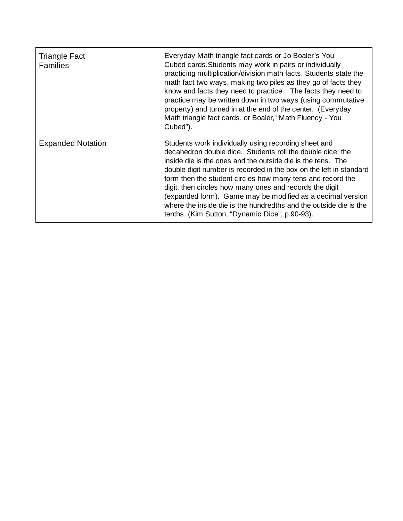| <b>Triangle Fact</b><br><b>Families</b> | Everyday Math triangle fact cards or Jo Boaler's You<br>Cubed cards. Students may work in pairs or individually<br>practicing multiplication/division math facts. Students state the<br>math fact two ways, making two piles as they go of facts they<br>know and facts they need to practice. The facts they need to<br>practice may be written down in two ways (using commutative<br>property) and turned in at the end of the center. (Everyday<br>Math triangle fact cards, or Boaler, "Math Fluency - You<br>Cubed").                                           |
|-----------------------------------------|-----------------------------------------------------------------------------------------------------------------------------------------------------------------------------------------------------------------------------------------------------------------------------------------------------------------------------------------------------------------------------------------------------------------------------------------------------------------------------------------------------------------------------------------------------------------------|
| <b>Expanded Notation</b>                | Students work individually using recording sheet and<br>decahedron double dice. Students roll the double dice; the<br>inside die is the ones and the outside die is the tens. The<br>double digit number is recorded in the box on the left in standard<br>form then the student circles how many tens and record the<br>digit, then circles how many ones and records the digit<br>(expanded form). Game may be modified as a decimal version<br>where the inside die is the hundredths and the outside die is the<br>tenths. (Kim Sutton, "Dynamic Dice", p.90-93). |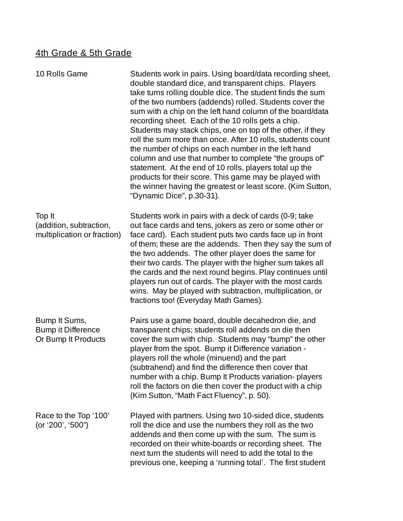#### 4th Grade & 5th Grade

| 10 Rolls Game                                                     | Students work in pairs. Using board/data recording sheet,<br>double standard dice, and transparent chips. Players<br>take turns rolling double dice. The student finds the sum<br>of the two numbers (addends) rolled. Students cover the<br>sum with a chip on the left hand column of the board/data<br>recording sheet. Each of the 10 rolls gets a chip.<br>Students may stack chips, one on top of the other, if they<br>roll the sum more than once. After 10 rolls, students count<br>the number of chips on each number in the left hand<br>column and use that number to complete "the groups of"<br>statement. At the end of 10 rolls, players total up the<br>products for their score. This game may be played with<br>the winner having the greatest or least score. (Kim Sutton,<br>"Dynamic Dice", p.30-31). |
|-------------------------------------------------------------------|-----------------------------------------------------------------------------------------------------------------------------------------------------------------------------------------------------------------------------------------------------------------------------------------------------------------------------------------------------------------------------------------------------------------------------------------------------------------------------------------------------------------------------------------------------------------------------------------------------------------------------------------------------------------------------------------------------------------------------------------------------------------------------------------------------------------------------|
| Top It<br>(addition, subtraction,<br>multiplication or fraction)  | Students work in pairs with a deck of cards (0-9; take<br>out face cards and tens, jokers as zero or some other or<br>face card). Each student puts two cards face up in front<br>of them; these are the addends. Then they say the sum of<br>the two addends. The other player does the same for<br>their two cards. The player with the higher sum takes all<br>the cards and the next round begins. Play continues until<br>players run out of cards. The player with the most cards<br>wins. May be played with subtraction, multiplication, or<br>fractions too! (Everyday Math Games).                                                                                                                                                                                                                                |
| Bump It Sums,<br><b>Bump it Difference</b><br>Or Bump It Products | Pairs use a game board, double decahedron die, and<br>transparent chips; students roll addends on die then<br>cover the sum with chip. Students may "bump" the other<br>player from the spot. Bump it Difference variation -<br>players roll the whole (minuend) and the part<br>(subtrahend) and find the difference then cover that<br>number with a chip. Bump It Products variation- players<br>roll the factors on die then cover the product with a chip<br>(Kim Sutton, "Math Fact Fluency", p. 50).                                                                                                                                                                                                                                                                                                                 |
| Race to the Top '100'<br>(or '200', '500")                        | Played with partners. Using two 10-sided dice, students<br>roll the dice and use the numbers they roll as the two<br>addends and then come up with the sum. The sum is<br>recorded on their white-boards or recording sheet. The<br>next turn the students will need to add the total to the<br>previous one, keeping a 'running total'. The first student                                                                                                                                                                                                                                                                                                                                                                                                                                                                  |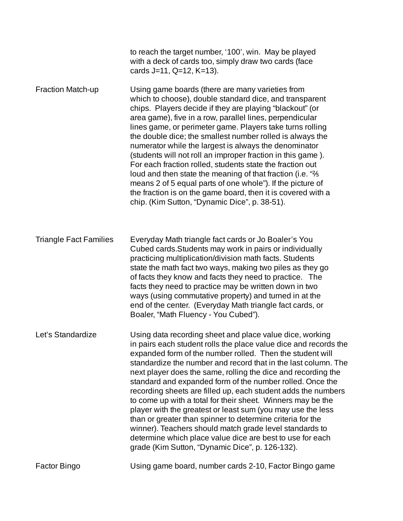|                               | to reach the target number, '100', win. May be played<br>with a deck of cards too, simply draw two cards (face<br>cards J=11, Q=12, K=13).                                                                                                                                                                                                                                                                                                                                                                                                                                                                                                                                                                                                                                                                                        |
|-------------------------------|-----------------------------------------------------------------------------------------------------------------------------------------------------------------------------------------------------------------------------------------------------------------------------------------------------------------------------------------------------------------------------------------------------------------------------------------------------------------------------------------------------------------------------------------------------------------------------------------------------------------------------------------------------------------------------------------------------------------------------------------------------------------------------------------------------------------------------------|
| <b>Fraction Match-up</b>      | Using game boards (there are many varieties from<br>which to choose), double standard dice, and transparent<br>chips. Players decide if they are playing "blackout" (or<br>area game), five in a row, parallel lines, perpendicular<br>lines game, or perimeter game. Players take turns rolling<br>the double dice; the smallest number rolled is always the<br>numerator while the largest is always the denominator<br>(students will not roll an improper fraction in this game).<br>For each fraction rolled, students state the fraction out<br>loud and then state the meaning of that fraction (i.e. "%<br>means 2 of 5 equal parts of one whole"). If the picture of<br>the fraction is on the game board, then it is covered with a<br>chip. (Kim Sutton, "Dynamic Dice", p. 38-51).                                    |
| <b>Triangle Fact Families</b> | Everyday Math triangle fact cards or Jo Boaler's You<br>Cubed cards. Students may work in pairs or individually<br>practicing multiplication/division math facts. Students<br>state the math fact two ways, making two piles as they go<br>of facts they know and facts they need to practice. The<br>facts they need to practice may be written down in two<br>ways (using commutative property) and turned in at the<br>end of the center. (Everyday Math triangle fact cards, or<br>Boaler, "Math Fluency - You Cubed").                                                                                                                                                                                                                                                                                                       |
| Let's Standardize             | Using data recording sheet and place value dice, working<br>in pairs each student rolls the place value dice and records the<br>expanded form of the number rolled. Then the student will<br>standardize the number and record that in the last column. The<br>next player does the same, rolling the dice and recording the<br>standard and expanded form of the number rolled. Once the<br>recording sheets are filled up, each student adds the numbers<br>to come up with a total for their sheet. Winners may be the<br>player with the greatest or least sum (you may use the less<br>than or greater than spinner to determine criteria for the<br>winner). Teachers should match grade level standards to<br>determine which place value dice are best to use for each<br>grade (Kim Sutton, "Dynamic Dice", p. 126-132). |
| <b>Factor Bingo</b>           | Using game board, number cards 2-10, Factor Bingo game                                                                                                                                                                                                                                                                                                                                                                                                                                                                                                                                                                                                                                                                                                                                                                            |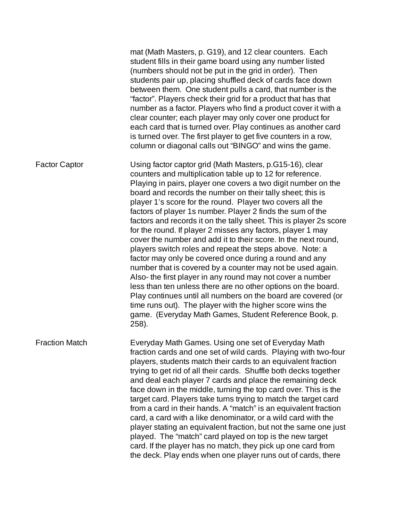mat (Math Masters, p. G19), and 12 clear counters. Each student fills in their game board using any number listed (numbers should not be put in the grid in order). Then students pair up, placing shuffled deck of cards face down between them. One student pulls a card, that number is the "factor". Players check their grid for a product that has that number as a factor. Players who find a product cover it with a clear counter; each player may only cover one product for each card that is turned over. Play continues as another card is turned over. The first player to get five counters in a row, column or diagonal calls out "BINGO" and wins the game. Factor Captor Using factor captor grid (Math Masters, p.G15-16), clear counters and multiplication table up to 12 for reference. Playing in pairs, player one covers a two digit number on the board and records the number on their tally sheet; this is player 1's score for the round. Player two covers all the factors of player 1s number. Player 2 finds the sum of the factors and records it on the tally sheet. This is player 2s score for the round. If player 2 misses any factors, player 1 may cover the number and add it to their score. In the next round, players switch roles and repeat the steps above. Note: a factor may only be covered once during a round and any number that is covered by a counter may not be used again. Also- the first player in any round may not cover a number less than ten unless there are no other options on the board. Play continues until all numbers on the board are covered (or time runs out). The player with the higher score wins the

game. (Everyday Math Games, Student Reference Book, p.

Fraction Match Everyday Math Games. Using one set of Everyday Math fraction cards and one set of wild cards. Playing with two-four players, students match their cards to an equivalent fraction trying to get rid of all their cards. Shuffle both decks together and deal each player 7 cards and place the remaining deck face down in the middle, turning the top card over. This is the target card. Players take turns trying to match the target card from a card in their hands. A "match" is an equivalent fraction card, a card with a like denominator, or a wild card with the player stating an equivalent fraction, but not the same one just played. The "match" card played on top is the new target card. If the player has no match, they pick up one card from the deck. Play ends when one player runs out of cards, there

258).